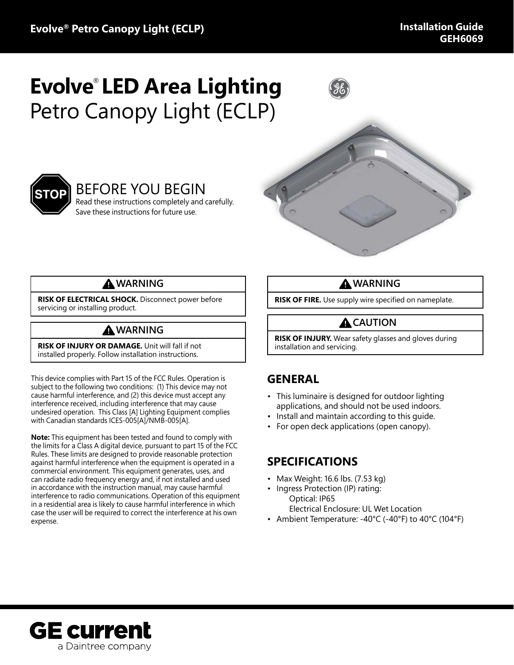# Petro Canopy Light (ECLP) **Evolve**®  **LED Area Lighting**



## BEFORE YOU BEGIN

Read these instructions completely and carefully. Save these instructions for future use.



### **WARNING**

**RISK OF ELECTRICAL SHOCK.** Disconnect power before servicing or installing product.

## **WARNING**

**RISK OF INJURY OR DAMAGE.** Unit will fall if not installed properly. Follow installation instructions.

This device complies with Part 15 of the FCC Rules. Operation is subject to the following two conditions: (1) This device may not cause harmful interference, and (2) this device must accept any interference received, including interference that may cause undesired operation. This Class [A] Lighting Equipment complies with Canadian standards ICES-005[A]/NMB-005[A].

**Note:** This equipment has been tested and found to comply with the limits for a Class A digital device, pursuant to part 15 of the FCC Rules. These limits are designed to provide reasonable protection against harmful interference when the equipment is operated in a commercial environment. This equipment generates, uses, and can radiate radio frequency energy and, if not installed and used in accordance with the instruction manual, may cause harmful interference to radio communications. Operation of this equipment in a residential area is likely to cause harmful interference in which case the user will be required to correct the interference at his own expense.

### **WARNING**

**RISK OF FIRE.** Use supply wire specified on nameplate.

## **A** CAUTION

**RISK OF INJURY.** Wear safety glasses and gloves during installation and servicing.

## **GENERAL**

- This luminaire is designed for outdoor lighting applications, and should not be used indoors.
- Install and maintain according to this guide.
- For open deck applications (open canopy).

### **SPECIFICATIONS**

- Max Weight: 16.6 lbs. (7.53 kg)
- Ingress Protection (IP) rating: Optical: IP65
	- Electrical Enclosure: UL Wet Location
- Ambient Temperature: -40°C (-40°F) to 40°C (104°F)

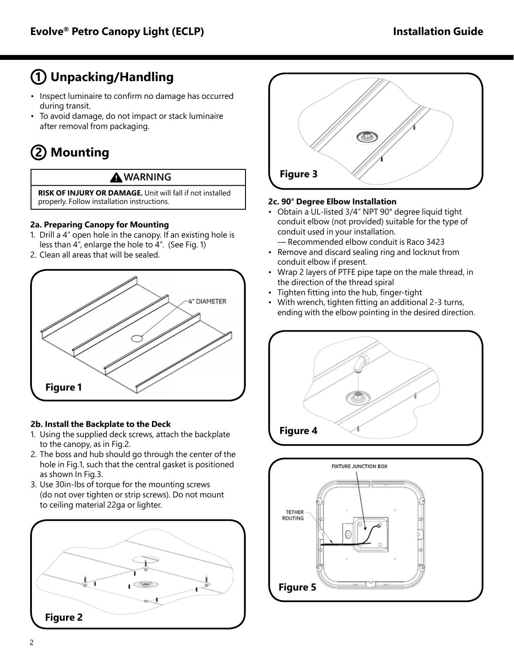## **1 Unpacking/Handling**

- Inspect luminaire to confirm no damage has occurred during transit.
- To avoid damage, do not impact or stack luminaire after removal from packaging.

## **2 Mounting**

### **WARNING**

**RISK OF INJURY OR DAMAGE.** Unit will fall if not installed properly. Follow installation instructions.

#### **2a. Preparing Canopy for Mounting**

- 1. Drill a 4" open hole in the canopy. If an existing hole is less than 4", enlarge the hole to 4". (See Fig. 1)
- 2. Clean all areas that will be sealed.



#### **2b. Install the Backplate to the Deck**

- 1. Using the supplied deck screws, attach the backplate to the canopy, as in Fig.2.
- 2. The boss and hub should go through the center of the hole in Fig.1, such that the central gasket is positioned as shown In Fig.3.
- 3. Use 30in-lbs of torque for the mounting screws (do not over tighten or strip screws). Do not mount to ceiling material 22ga or lighter.





#### **2c. 90° Degree Elbow Installation**

- Obtain a UL-listed 3/4" NPT 90° degree liquid tight conduit elbow (not provided) suitable for the type of conduit used in your installation.
	- Recommended elbow conduit is Raco 3423
- Remove and discard sealing ring and locknut from conduit elbow if present.
- Wrap 2 layers of PTFE pipe tape on the male thread, in the direction of the thread spiral
- Tighten fitting into the hub, finger-tight
- With wrench, tighten fitting an additional 2-3 turns, ending with the elbow pointing in the desired direction.



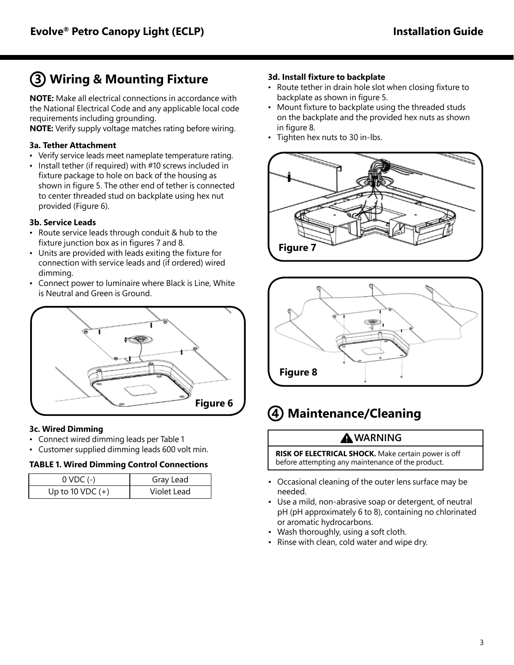## **3 Wiring & Mounting Fixture**

**NOTE:** Make all electrical connections in accordance with the National Electrical Code and any applicable local code requirements including grounding.

**NOTE:** Verify supply voltage matches rating before wiring.

#### **3a. Tether Attachment**

- Verify service leads meet nameplate temperature rating.
- Install tether (if required) with #10 screws included in fixture package to hole on back of the housing as shown in figure 5. The other end of tether is connected to center threaded stud on backplate using hex nut provided (Figure 6).

#### **3b. Service Leads**

- Route service leads through conduit & hub to the fixture junction box as in figures 7 and 8.
- Units are provided with leads exiting the fixture for connection with service leads and (if ordered) wired dimming.
- Connect power to luminaire where Black is Line, White is Neutral and Green is Ground.



#### **3c. Wired Dimming**

- Connect wired dimming leads per Table 1
- Customer supplied dimming leads 600 volt min.

#### **TABLE 1. Wired Dimming Control Connections**

| $0$ VDC $(-)$      | Gray Lead   |
|--------------------|-------------|
| Up to 10 VDC $(+)$ | Violet Lead |

#### **3d. Install fixture to backplate**

- Route tether in drain hole slot when closing fixture to backplate as shown in figure 5.
- Mount fixture to backplate using the threaded studs on the backplate and the provided hex nuts as shown in figure 8.
- Tighten hex nuts to 30 in-lbs.





# **<sup>4</sup> Maintenance/Cleaning Figure 6**

#### **WARNING**

**RISK OF ELECTRICAL SHOCK.** Make certain power is off before attempting any maintenance of the product.

- Occasional cleaning of the outer lens surface may be needed.
- Use a mild, non-abrasive soap or detergent, of neutral pH (pH approximately 6 to 8), containing no chlorinated or aromatic hydrocarbons.
- Wash thoroughly, using a soft cloth.
- Rinse with clean, cold water and wipe dry.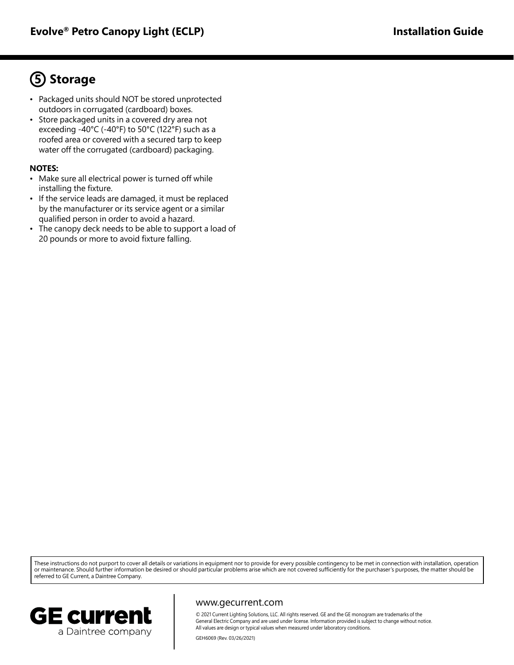## **5 Storage**

- Packaged units should NOT be stored unprotected outdoors in corrugated (cardboard) boxes.
- Store packaged units in a covered dry area not exceeding -40°C (-40°F) to 50°C (122°F) such as a roofed area or covered with a secured tarp to keep water off the corrugated (cardboard) packaging.

#### **NOTES:**

- Make sure all electrical power is turned off while installing the fixture.
- If the service leads are damaged, it must be replaced by the manufacturer or its service agent or a similar qualified person in order to avoid a hazard.
- The canopy deck needs to be able to support a load of 20 pounds or more to avoid fixture falling.

These instructions do not purport to cover all details or variations in equipment nor to provide for every possible contingency to be met in connection with installation, operation or maintenance. Should further information be desired or should particular problems arise which are not covered sufficiently for the purchaser's purposes, the matter should be referred to GE Current, a Daintree Company.



#### www.gecurrent.com

© 2021 Current Lighting Solutions, LLC. All rights reserved. GE and the GE monogram are trademarks of the General Electric Company and are used under license. Information provided is subject to change without notice. All values are design or typical values when measured under laboratory conditions.

GEH6069 (Rev. 03/26/2021)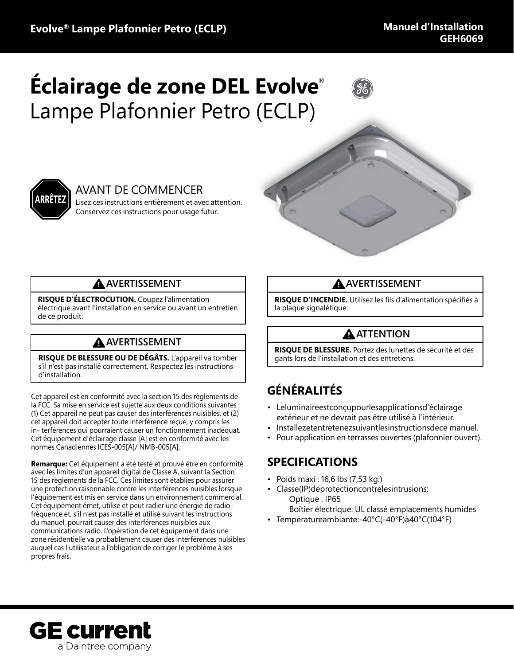# Lampe Plafonnier Petro (ECLP) **Éclairage de zone DEL Evolve**®





## AVANT DE COMMENCER

Lisez ces instructions entièrement et avec attention. Conservez ces instructions pour usage futur.



### **AVERTISSEMENT**

**RISQUE D'ÉLECTROCUTION.** Coupez l'alimentation électrique avant l'installation en service ou avant un entretien de ce produit.

### **AVERTISSEMENT**

**RISQUE DE BLESSURE OU DE DÉGÂTS.** L'appareil va tomber s'il n'est pas installé correctement. Respectez les instructions d'installation.

Cet appareil est en conformité avec la section 15 des règlements de la FCC. Sa mise en service est sujette aux deux conditions suivantes : (1) Cet appareil ne peut pas causer des interférences nuisibles, et (2) cet appareil doit accepter toute interférence reçue, y compris les in- terférences qui pourraient causer un fonctionnement inadéquat. Cet équipement d'éclairage classe [A] est en conformité avec les normes Canadiennes ICES-005[A]/ NMB-005[A].

**Remarque:** Cet équipement a été testé et prouvé être en conformité avec les limites d'un appareil digital de Classe A, suivant la Section 15 des règlements de la FCC. Ces limites sont établies pour assurer une protection raisonnable contre les interférences nuisibles lorsque l'équipement est mis en service dans un environnement commercial. Cet équipement émet, utilise et peut radier une énergie de radiofréquence et, s'il n'est pas installé et utilisé suivant les instructions du manuel, pourrait causer des interférences nuisibles aux communications radio. L'opération de cet équipement dans une zone résidentielle va probablement causer des interférences nuisibles auquel cas l'utilisateur a l'obligation de corriger le problème à ses propres frais.

### **AVERTISSEMENT**

**RISQUE D'INCENDIE.** Utilisez les fils d'alimentation spécifiés à la plaque signalétique.

### **ATTENTION**

**RISQUE DE BLESSURE.** Portez des lunettes de sécurité et des gants lors de l'installation et des entretiens.

## **GÉNÉRALITÉS**

- Leluminaireestconçupourlesapplicationsd'éclairage extérieur et ne devrait pas être utilisé à l'intérieur.
- Installezetentretenezsuivantlesinstructionsdece manuel.
- Pour application en terrasses ouvertes (plafonnier ouvert).

## **SPECIFICATIONS**

- Poids maxi : 16,6 lbs (7,53 kg.)
- Classe(IP)deprotectioncontrelesintrusions: Optique : IP65
	- Boîtier électrique: UL classé emplacements humides
- Températureambiante:-40°C(-40°F)à40°C(104°F)

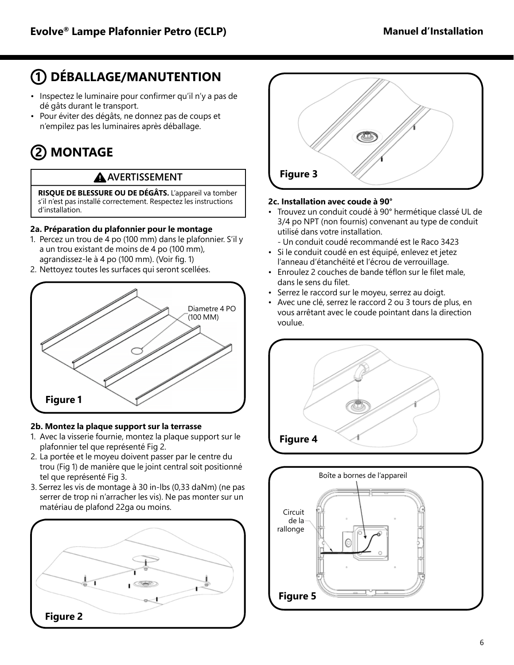## **1 DÉBALLAGE/MANUTENTION**

- • Inspectez le luminaire pour confirmer qu'il n'y a pas de dé gâts durant le transport.
- Pour éviter des dégâts, ne donnez pas de coups et n'empilez pas les luminaires après déballage.

## **2 MONTAGE**

## **AVERTISSEMENT**

**RISQUE DE BLESSURE OU DE DÉGÂTS.** L'appareil va tomber s'il n'est pas installé correctement. Respectez les instructions d'installation.

#### **2a. Préparation du plafonnier pour le montage**

- 1. Percez un trou de 4 po (100 mm) dans le plafonnier. S'il y a un trou existant de moins de 4 po (100 mm), agrandissez-le à 4 po (100 mm). (Voir fig. 1)
- 2. Nettoyez toutes les surfaces qui seront scellées.



#### **2b. Montez la plaque support sur la terrasse**

- 1. Avec la visserie fournie, montez la plaque support sur le plafonnier tel que représenté Fig 2.
- 2. La portée et le moyeu doivent passer par le centre du trou (Fig 1) de manière que le joint central soit positionné tel que représenté Fig 3.
- 3. Serrez les vis de montage à 30 in-lbs (0,33 daNm) (ne pas serrer de trop ni n'arracher les vis). Ne pas monter sur un matériau de plafond 22ga ou moins.





#### **2c. Installation avec coude à 90°**

- Trouvez un conduit coudé à 90° hermétique classé UL de 3/4 po NPT (non fournis) convenant au type de conduit utilisé dans votre installation.
	- Un conduit coudé recommandé est le Raco 3423
- Si le conduit coudé en est équipé, enlevez et jetez l'anneau d'étanchéité et l'écrou de verrouillage.
- Enroulez 2 couches de bande téflon sur le filet male, dans le sens du filet.
- Serrez le raccord sur le moyeu, serrez au doigt.
- Avec une clé, serrez le raccord 2 ou 3 tours de plus, en vous arrêtant avec le coude pointant dans la direction voulue.



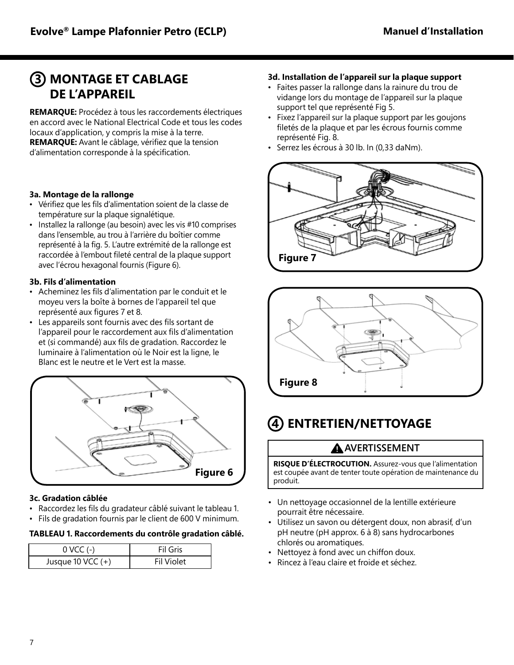## **MONTAGE ET CABLAGE 3 DE L'APPAREIL**

**REMARQUE:** Procédez à tous les raccordements électriques en accord avec le National Electrical Code et tous les codes locaux d'application, y compris la mise à la terre. **REMARQUE:** Avant le câblage, vérifiez que la tension d'alimentation corresponde à la spécification.

#### **3a. Montage de la rallonge**

- • Vérifiez que les fils d'alimentation soient de la classe de température sur la plaque signalétique.
- Installez la rallonge (au besoin) avec les vis #10 comprises dans l'ensemble, au trou à l'arrière du boîtier comme représenté à la fig. 5. L'autre extrémité de la rallonge est raccordée à l'embout fileté central de la plaque support avec l'écrou hexagonal fournis (Figure 6).

#### **3b. Fils d'alimentation**

- • Acheminez les fils d'alimentation par le conduit et le moyeu vers la boîte à bornes de l'appareil tel que représenté aux figures 7 et 8.
- Les appareils sont fournis avec des fils sortant de l'appareil pour le raccordement aux fils d'alimentation et (si commandé) aux fils de gradation. Raccordez le luminaire à l'alimentation où le Noir est la ligne, le Blanc est le neutre et le Vert est la masse.



#### **3c. Gradation câblée**

- Raccordez les fils du gradateur câblé suivant le tableau 1.
- Fils de gradation fournis par le client de 600 V minimum.

#### **TABLEAU 1. Raccordements du contrôle gradation câblé.**

| $0$ VCC $(-)$       | <b>Fil Gris</b>   |
|---------------------|-------------------|
| Jusque 10 VCC $(+)$ | <b>Fil Violet</b> |

#### **3d. Installation de l'appareil sur la plaque support**

- Faites passer la rallonge dans la rainure du trou de vidange lors du montage de l'appareil sur la plaque support tel que représenté Fig 5.
- Fixez l'appareil sur la plaque support par les goujons filetés de la plaque et par les écrous fournis comme représenté Fig. 8.
- Serrez les écrous à 30 lb. In (0,33 daNm).





## **4 ENTRETIEN/NETTOYAGE**

#### **AVERTISSEMENT**

**RISQUE D'ÉLECTROCUTION.** Assurez-vous que l'alimentation est coupée avant de tenter toute opération de maintenance du produit.

- Un nettoyage occasionnel de la lentille extérieure pourrait être nécessaire.
- Utilisez un savon ou détergent doux, non abrasif, d'un pH neutre (pH approx. 6 à 8) sans hydrocarbones chlorés ou aromatiques.
- Nettoyez à fond avec un chiffon doux.
- Rincez à l'eau claire et froide et séchez.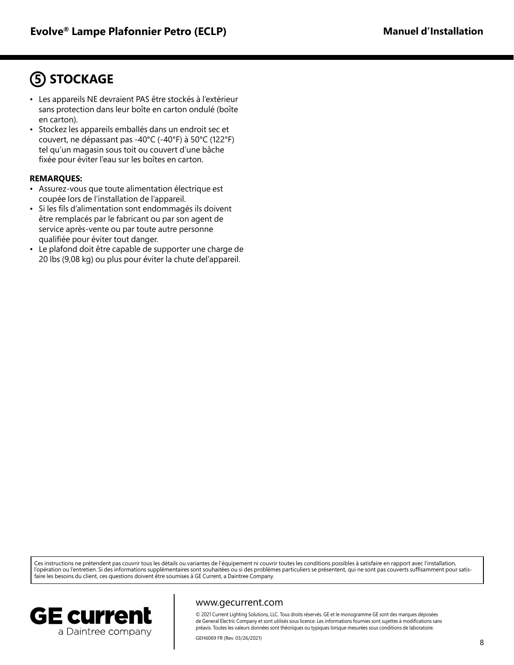## **5 STOCKAGE**

- Les appareils NE devraient PAS être stockés à l'extérieur sans protection dans leur boîte en carton ondulé (boîte en carton).
- Stockez les appareils emballés dans un endroit sec et couvert, ne dépassant pas -40°C (-40°F) à 50°C (122°F) tel qu'un magasin sous toit ou couvert d'une bâche fixée pour éviter l'eau sur les boîtes en carton.

#### **REMARQUES:**

- • Assurez-vous que toute alimentation électrique est coupée lors de l'installation de l'appareil.
- Si les fils d'alimentation sont endommagés ils doivent être remplacés par le fabricant ou par son agent de service après-vente ou par toute autre personne qualifiée pour éviter tout danger.
- Le plafond doit être capable de supporter une charge de 20 lbs (9,08 kg) ou plus pour éviter la chute del'appareil.

Ces instructions ne prétendent pas couvrir tous les détails ou variantes de l'équipement ni couvrir toutes les conditions possibles à satisfaire en rapport avec l'installation, l'opération ou l'entretien. Si des informations supplémentaires sont souhaitées ou si des problèmes particuliers se présentent, qui ne sont pas couverts suffisamment pour satisfaire les besoins du client, ces questions doivent être soumises à GE Current, a Daintree Company.



#### www.gecurrent.com

© 2021 Current Lighting Solutions, LLC. Tous droits réservés. GE et le monogramme GE sont des marques déposées de General Electric Company et sont utilisés sous licence. Les informations fournies sont sujettes à modifications sans préavis. Toutes les valeurs données sont théoriques ou typiques lorsque mesurées sous conditions de laboratoire.

GEH6069 FR (Rev. 03/26/2021)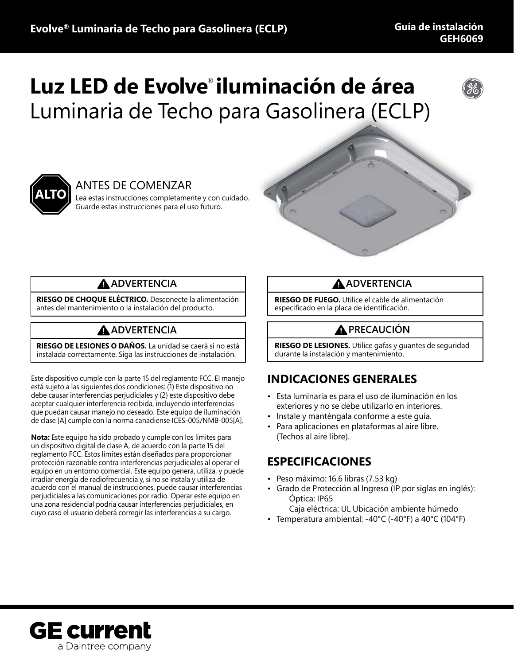# Luminaria de Techo para Gasolinera (ECLP) **Luz LED de Evolve**®  **iluminación de área**





### ANTES DE COMENZAR

Lea estas instrucciones completamente y con cuidado. Guarde estas instrucciones para el uso futuro.



### **ADVERTENCIA**

**RIESGO DE CHOQUE ELÉCTRICO.** Desconecte la alimentación antes del mantenimiento o la instalación del producto.

## **ADVERTENCIA**

**RIESGO DE LESIONES O DAÑOS.** La unidad se caerá si no está instalada correctamente. Siga las instrucciones de instalación.

Este dispositivo cumple con la parte 15 del reglamento FCC. El manejo está sujeto a las siguientes dos condiciones: (1) Este dispositivo no debe causar interferencias perjudiciales y (2) este dispositivo debe aceptar cualquier interferencia recibida, incluyendo interferencias que puedan causar manejo no deseado. Este equipo de iluminación de clase [A] cumple con la norma canadiense ICES-005/NMB-005[A].

**Nota:** Este equipo ha sido probado y cumple con los límites para un dispositivo digital de clase A, de acuerdo con la parte 15 del reglamento FCC. Estos límites están diseñados para proporcionar protección razonable contra interferencias perjudiciales al operar el equipo en un entorno comercial. Este equipo genera, utiliza, y puede irradiar energía de radiofrecuencia y, si no se instala y utiliza de acuerdo con el manual de instrucciones, puede causar interferencias perjudiciales a las comunicaciones por radio. Operar este equipo en una zona residencial podría causar interferencias perjudiciales, en cuyo caso el usuario deberá corregir las interferencias a su cargo.

### **ADVERTENCIA**

**RIESGO DE FUEGO.** Utilice el cable de alimentación especificado en la placa de identificación.

## **A** PRECAUCION

**RIESGO DE LESIONES.** Utilice gafas y guantes de seguridad durante la instalación y mantenimiento.

## **INDICACIONES GENERALES**

- Esta luminaria es para el uso de iluminación en los exteriores y no se debe utilizarlo en interiores.
- Instale y manténgala conforme a este guía.
- Para aplicaciones en plataformas al aire libre. (Techos al aire libre).

## **ESPECIFICACIONES**

- Peso máximo: 16.6 libras (7.53 kg)
- Grado de Protección al Ingreso (IP por siglas en inglés): Óptica: IP65

Caja eléctrica: UL Ubicación ambiente húmedo

• Temperatura ambiental: -40°C (-40°F) a 40°C (104°F)

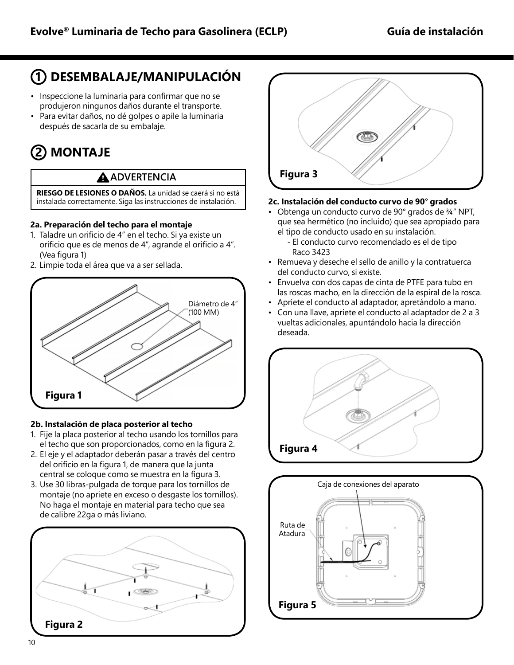## **1 DESEMBALAJE/MANIPULACIÓN**

- Inspeccione la luminaria para confirmar que no se produjeron ningunos daños durante el transporte.
- Para evitar daños, no dé golpes o apile la luminaria después de sacarla de su embalaje.

## **2 MONTAJE**

### **ADVERTENCIA**

**RIESGO DE LESIONES O DAÑOS.** La unidad se caerá si no está instalada correctamente. Siga las instrucciones de instalación.

#### **2a. Preparación del techo para el montaje**

- 1. Taladre un orificio de 4" en el techo. Si ya existe un orificio que es de menos de 4", agrande el orificio a 4". (Vea figura 1)
- 2. Limpie toda el área que va a ser sellada.



#### **2b. Instalación de placa posterior al techo**

- 1. Fije la placa posterior al techo usando los tornillos para el techo que son proporcionados, como en la figura 2.
- 2. El eje y el adaptador deberán pasar a través del centro del orificio en la figura 1, de manera que la junta central se coloque como se muestra en la figura 3.
- 3. Use 30 libras-pulgada de torque para los tornillos de montaje (no apriete en exceso o desgaste los tornillos). No haga el montaje en material para techo que sea de calibre 22ga o más liviano.





#### **2c. Instalación del conducto curvo de 90° grados**

- Obtenga un conducto curvo de 90° grados de ¾" NPT, que sea hermético (no incluido) que sea apropiado para el tipo de conducto usado en su instalación.
	- El conducto curvo recomendado es el de tipo Raco 3423
- Remueva y deseche el sello de anillo y la contratuerca del conducto curvo, si existe.
- Envuelva con dos capas de cinta de PTFE para tubo en las roscas macho, en la dirección de la espiral de la rosca.
- Apriete el conducto al adaptador, apretándolo a mano.
- Con una llave, apriete el conducto al adaptador de 2 a 3 vueltas adicionales, apuntándolo hacia la dirección deseada.



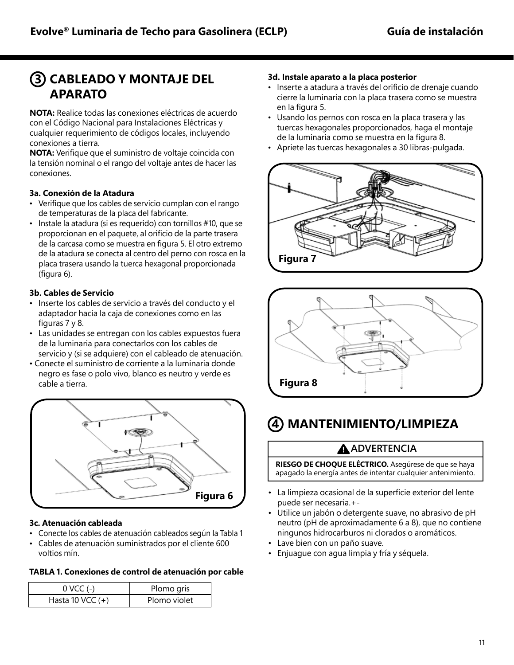## **CABLEADO Y MONTAJE DEL 3 APARATO**

**NOTA:** Realice todas las conexiones eléctricas de acuerdo con el Código Nacional para Instalaciones Eléctricas y cualquier requerimiento de códigos locales, incluyendo conexiones a tierra.

**NOTA:** Verifique que el suministro de voltaje coincida con la tensión nominal o el rango del voltaje antes de hacer las conexiones.

#### **3a. Conexión de la Atadura**

- • Verifique que los cables de servicio cumplan con el rango de temperaturas de la placa del fabricante.
- Instale la atadura (si es requerido) con tornillos #10, que se proporcionan en el paquete, al orificio de la parte trasera de la carcasa como se muestra en figura 5. El otro extremo de la atadura se conecta al centro del perno con rosca en la placa trasera usando la tuerca hexagonal proporcionada (figura 6).

#### **3b. Cables de Servicio**

- Inserte los cables de servicio a través del conducto y el adaptador hacia la caja de conexiones como en las figuras 7 y 8.
- Las unidades se entregan con los cables expuestos fuera de la luminaria para conectarlos con los cables de servicio y (si se adquiere) con el cableado de atenuación.
- Conecte el suministro de corriente a la luminaria donde negro es fase o polo vivo, blanco es neutro y verde es cable a tierra.



#### **3c. Atenuación cableada**

- Conecte los cables de atenuación cableados según la Tabla 1
- Cables de atenuación suministrados por el cliente 600 voltios mín.

#### **TABLA 1. Conexiones de control de atenuación por cable**

| $0$ VCC $(-)$      | Plomo gris   |
|--------------------|--------------|
| Hasta 10 VCC $(+)$ | Plomo violet |

#### **3d. Instale aparato a la placa posterior**

- Inserte a atadura a través del orificio de drenaje cuando cierre la luminaria con la placa trasera como se muestra en la figura 5.
- Usando los pernos con rosca en la placa trasera y las tuercas hexagonales proporcionados, haga el montaje de la luminaria como se muestra en la figura 8.
- Apriete las tuercas hexagonales a 30 libras-pulgada.





## **4 MANTENIMIENTO/LIMPIEZA**

#### **ADVERTENCIA**

**RIESGO DE CHOQUE ELÉCTRICO.** Asegúrese de que se haya apagado la energía antes de intentar cualquier antenimiento.

- La limpieza ocasional de la superficie exterior del lente puede ser necesaria.+-
- Utilice un jabón o detergente suave, no abrasivo de pH neutro (pH de aproximadamente 6 a 8), que no contiene ningunos hidrocarburos ni clorados o aromáticos.
- Lave bien con un paño suave.
- Enjuague con agua limpia y fría y séquela.